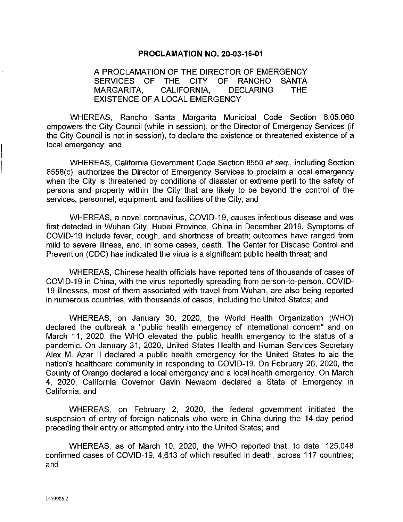## **PROCLAMATION NO. 20-03-16-01**

A PROCLAMATION OF THE DIRECTOR OF EMERGENCY SERVICES OF THE CITY OF RANCHO SANTA MARGARITA, CALIFORNIA, DECLARING THE EXISTENCE OF A LOCAL EMERGENCY

WHEREAS, Rancho Santa Margarita Municipal Code Section 6.05.060 empowers the City Council (while in session), or the Director of Emergency Services (if the City Council is not in session), to declare the existence or threatened existence of a local emergency; and

WHEREAS, California Government Code Section 8550 et seq., including Section 8558(c), authorizes the Director of Emergency Services to proclaim a local emergency when the City is threatened by conditions of disaster or extreme peril to the safety of persons and property within the City that are likely to be beyond the control of the services, personnel, equipment, and facilities of the City; and

WHEREAS, a novel coronavirus, COVID-19, causes infectious disease and was first detected in Wuhan City, Hubei Province, China in December 2019. Symptoms of COVID-19 include fever, cough, and shortness of breath; outcomes have ranged from mild to severe illness, and, in some cases, death. The Center for Disease Control and Prevention (CDC) has indicated the virus is a significant public health threat; and

WHEREAS, Chinese health officials have reported tens of thousands of cases of COVID-19 in China, with the virus reportedly spreading from person-to-person. COVID-19 illnesses, most of them associated with travel from Wuhan, are also being reported in numerous countries, with thousands of cases, including the United States; and

WHEREAS, on January 30, 2020, the World Health Organization (WHO) declared the outbreak a "public health emergency of international concern" and on March 11, 2020, the WHO elevated the public health emergency to the status of a pandemic. On January 31, 2020, United States Health and Human Services Secretary Alex M. Azar II declared a public health emergency for the United States to aid the nation's healthcare community in responding to COVID-19. On February 26, 2020, the County of Orange declared a local emergency and a local health emergency. On March 4, 2020, California Governor Gavin Newsom declared a State of Emergency in California; and

WHEREAS, on February 2, 2020, the federal government initiated the suspension of entry of foreign nationals who were in China during the 14-day period preceding their entry or attempted entry into the United States; and

WHEREAS, as of March 10, 2020, the WHO reported that, to date, 125,048 confirmed cases of COVID-19, 4,613 of which resulted in death, across 117 countries; and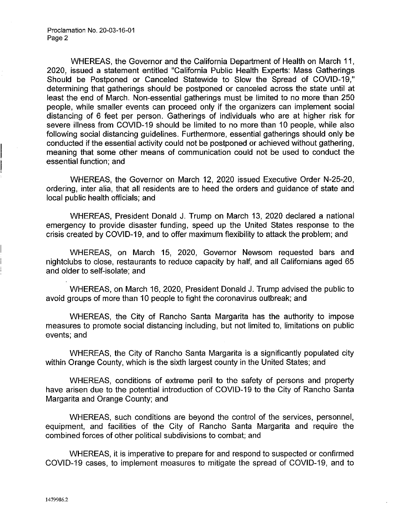WHEREAS, the Governor and the California Department of Health on March 11, 2020, issued a statement entitled "California Public Health Experts: Mass Gatherings Should be Postponed or Canceled Statewide to Slow the Spread of COVID-19," determining that gatherings should be postponed or canceled across the state until at least the end of March. Non-essential gatherings must be limited to no more than 250 people, while smaller events can proceed only if the organizers can implement social distancing of 6 feet per person. Gatherings of individuals who are at higher risk for severe illness from COVID-19 should be limited to no more than 10 people, while also following social distancing guidelines. Furthermore, essential gatherings should only be conducted if the essential activity could not be postponed or achieved without gathering, meaning that some other means of communication could not be used to conduct the essential function; and

WHEREAS, the Governor on March 12, 2020 issued Executive Order N-25-20, ordering, inter alia, that all residents are to heed the orders and guidance of state and local public health officials; and

WHEREAS, President Donald J. Trump on March 13, 2020 declared a national emergency to provide disaster funding, speed up the United States response to the crisis created by COVID-19, and to offer maximum flexibility to attack the problem; and

WHEREAS, on March 15, 2020, Governor Newsom requested bars and nightclubs to close, restaurants to reduce capacity by half, and all Californians aged 65 and older to self-isolate; and

WHEREAS, on March 16, 2020, President Donald J. Trump advised the public to avoid groups of more than 10 people to fight the coronavirus outbreak; and

WHEREAS, the City of Rancho Santa Margarita has the authority to impose measures to promote social distancing including, but not limited to, limitations on public events; and

WHEREAS, the City of Rancho Santa Margarita is a significantly populated city within Orange County, which is the sixth largest county in the United States; and

WHEREAS, conditions of extreme peril to the safety of persons and property have arisen due to the potential introduction of COVID-19 to the City of Rancho Santa Margarita and Orange County; and

WHEREAS, such conditions are beyond the control of the services, personnel, equipment, and facilities of the City of Rancho Santa Margarita and require the combined forces of other political subdivisions to combat; and

WHEREAS, it is imperative to prepare for and respond to suspected or confirmed COVID-19 cases, to implement measures to mitigate the spread of COVID-19, and to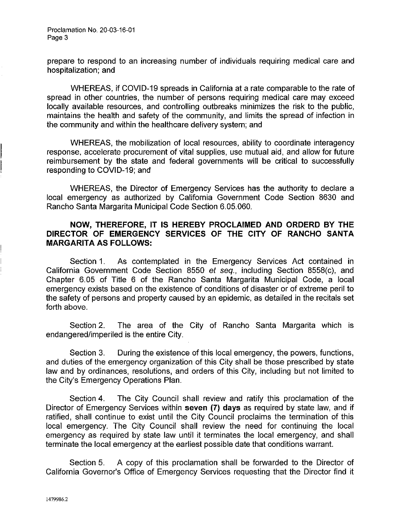prepare to respond to an increasing number of individuals requiring medical care and hospitalization; and

WHEREAS, if COVID-19 spreads in California at a rate comparable to the rate of spread in other countries, the number of persons requiring medical care may exceed locally available resources, and controlling outbreaks minimizes the risk to the public, maintains the health and safety of the community, and limits the spread of infection in the community and within the healthcare delivery system; and

WHEREAS, the mobilization of local resources, ability to coordinate interagency response, accelerate procurement of vital supplies, use mutual aid, and allow for future reimbursement by the state and federal governments will be critical to successfully responding to COVID-19; and

WHEREAS, the Director of Emergency Services has the authority to declare a local emergency as authorized by California Government Code Section 8630 and Rancho Santa Margarita Municipal Code Section 6.05.060.

## **NOW, THEREFORE, IT IS HEREBY PROCLAIMED AND ORDERD BY THE DIRECTOR OF EMERGENCY SERVICES OF THE CITY OF RANCHO SANTA MARGARITA AS FOLLOWS:**

Section 1. As contemplated in the Emergency Services Act contained in California Government Code Section 8550 et seq., including Section 8558(c), and Chapter 6.05 of Title 6 of the Rancho Santa Margarita Municipal Code, a local emergency exists based on the existence of conditions of disaster or of extreme peril to the safety of persons and property caused by an epidemic, as detailed in the recitals set forth above.

Section 2. The area of the City of Rancho Santa Margarita which is endangered/imperiled is the entire City.

Section 3. During the existence of this local emergency, the powers, functions, and duties of the emergency organization of this City shall be those prescribed by state law and by ordinances, resolutions, and orders of this City, including but not limited to the City's Emergency Operations Plan.

Section 4. The City Council shall review and ratify this proclamation of the Director of Emergency Services within **seven (7) days** as required by state law, and if ratified, shall continue to exist until the City Council proclaims the termination of this local emergency. The City Council shall review the need for continuing the local emergency as required by state law until it terminates the local emergency, and shall terminate the local emergency at the earliest possible date that conditions warrant.

Section 5. A copy of this proclamation shall be forwarded to the Director of California Governor's Office of Emergency Services requesting that the Director find it